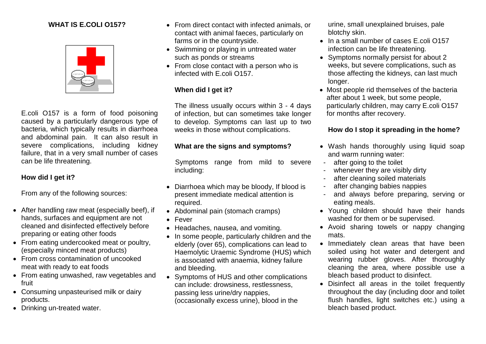### **WHAT IS E.COLI O157?**



E.coli O157 is a form of food poisoning caused by a particularly dangerous type of bacteria, which typically results in diarrhoea and abdominal pain. It can also result in severe complications, including kidney failure, that in a very small number of cases can be life threatening.

### **How did I get it?**

From any of the following sources:

- After handling raw meat (especially beef), if hands, surfaces and equipment are not cleaned and disinfected effectively before preparing or eating other foods
- From eating undercooked meat or poultry, (especially minced meat products)
- From cross contamination of uncooked meat with ready to eat foods
- From eating unwashed, raw vegetables and fruit
- Consuming unpasteurised milk or dairy products.
- Drinking un-treated water.
- From direct contact with infected animals, or contact with animal faeces, particularly on farms or in the countryside.
- Swimming or playing in untreated water such as ponds or streams
- From close contact with a person who is infected with E.coli O157.

## **When did I get it?**

The illness usually occurs within 3 - 4 days of infection, but can sometimes take longer to develop. Symptoms can last up to two weeks in those without complications.

### **What are the signs and symptoms?**

Symptoms range from mild to severe including:

- Diarrhoea which may be bloody, If blood is present immediate medical attention is required.
- Abdominal pain (stomach cramps)
- Fever
- Headaches, nausea, and vomiting.
- In some people, particularly children and the elderly (over 65), complications can lead to Haemolytic Uraemic Syndrome (HUS) which is associated with anaemia, kidney failure and bleeding.
- Symptoms of HUS and other complications can include: drowsiness, restlessness, passing less urine/dry nappies, (occasionally excess urine), blood in the

urine, small unexplained bruises, pale blotchy skin.

- In a small number of cases E.coli O157 infection can be life threatening.
- Symptoms normally persist for about 2 weeks, but severe complications, such as those affecting the kidneys, can last much longer.
- Most people rid themselves of the bacteria after about 1 week, but some people, particularly children, may carry E.coli O157 for months after recovery.

# **How do I stop it spreading in the home?**

- Wash hands thoroughly using liquid soap and warm running water:
- after going to the toilet
- whenever they are visibly dirty
- after cleaning soiled materials
- after changing babies nappies
- and always before preparing, serving or eating meals.
- Young children should have their hands washed for them or be supervised.
- Avoid sharing towels or nappy changing mats.
- Immediately clean areas that have been soiled using hot water and detergent and wearing rubber gloves. After thoroughly cleaning the area, where possible use a bleach based product to disinfect.
- Disinfect all areas in the toilet frequently throughout the day (including door and toilet flush handles, light switches etc.) using a bleach based product.